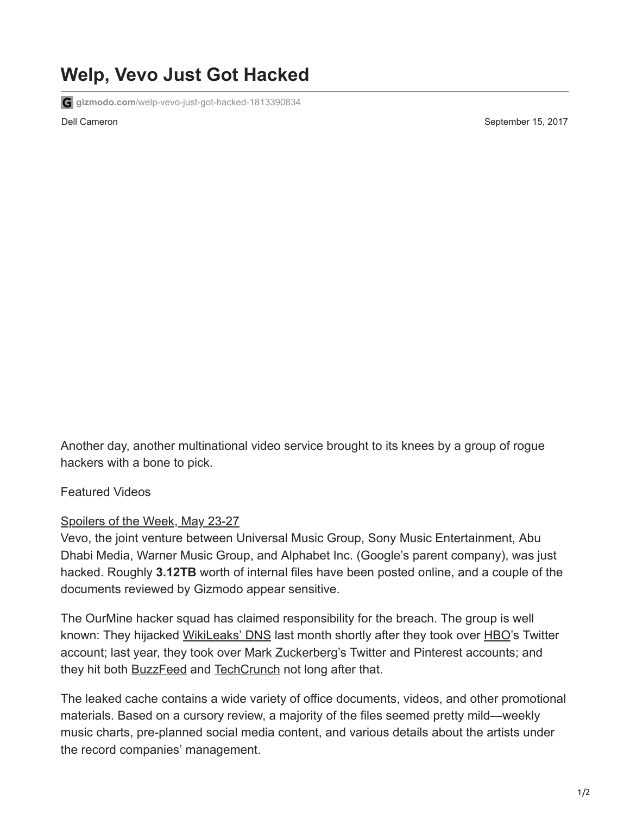## **Welp, Vevo Just Got Hacked**

**gizmodo.com**[/welp-vevo-just-got-hacked-1813390834](https://gizmodo.com/welp-vevo-just-got-hacked-1813390834)

Dell Cameron September 15, 2017

Another day, another multinational video service brought to its knees by a group of rogue hackers with a bone to pick.

Featured Videos

## [Spoilers of the Week, May 23-27](https://gizmodo.com/spoilers-of-the-week-may-22-27-1848988592)

Vevo, the joint venture between Universal Music Group, Sony Music Entertainment, Abu Dhabi Media, Warner Music Group, and Alphabet Inc. (Google's parent company), was just hacked. Roughly **3.12TB** worth of internal files have been posted online, and a couple of the documents reviewed by Gizmodo appear sensitive.

The OurMine hacker squad has claimed responsibility for the breach. The group is well known: They hijacked [WikiLeaks' DNS](https://gizmodo.com/hackers-deface-wikileaks-homepage-but-thats-about-it-1798655867) last month shortly after they took over [HBO](https://gizmodo.com/helpless-hbo-gets-wrecked-by-hackers-yet-again-1797923587#_ga=2.262718924.1349873556.1503860670-122581585.1444279257)'s Twitter account; last year, they took over [Mark Zuckerberg](https://gizmodo.com/mark-zuckerberg-hacked-on-twitter-and-pinterest-because-1780735073)'s Twitter and Pinterest accounts; and they hit both **BuzzFeed** and **TechCrunch** not long after that.

The leaked cache contains a wide variety of office documents, videos, and other promotional materials. Based on a cursory review, a majority of the files seemed pretty mild—weekly music charts, pre-planned social media content, and various details about the artists under the record companies' management.